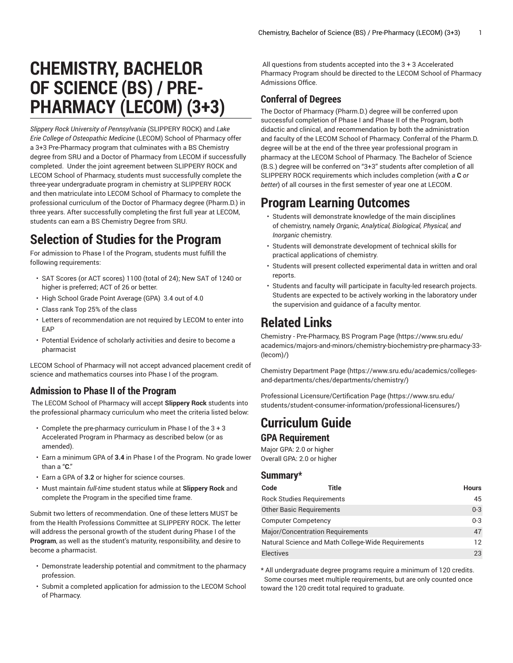# **CHEMISTRY, BACHELOR OF SCIENCE (BS) / PRE-PHARMACY (LECOM) (3+3)**

*Slippery Rock University of Pennsylvania* (SLIPPERY ROCK) and *Lake Erie College of Osteopathic Medicine* (LECOM) School of Pharmacy offer a 3+3 Pre-Pharmacy program that culminates with a BS Chemistry degree from SRU and a Doctor of Pharmacy from LECOM if successfully completed. Under the joint agreement between SLIPPERY ROCK and LECOM School of Pharmacy, students must successfully complete the three-year undergraduate program in chemistry at SLIPPERY ROCK and then matriculate into LECOM School of Pharmacy to complete the professional curriculum of the Doctor of Pharmacy degree (Pharm.D.) in three years. After successfully completing the first full year at LECOM, students can earn a BS Chemistry Degree from SRU.

### **Selection of Studies for the Program**

For admission to Phase I of the Program, students must fulfill the following requirements:

- SAT Scores (or ACT scores) 1100 (total of 24); New SAT of 1240 or higher is preferred; ACT of 26 or better.
- High School Grade Point Average (GPA) 3.4 out of 4.0
- Class rank Top 25% of the class
- Letters of recommendation are not required by LECOM to enter into EAP
- Potential Evidence of scholarly activities and desire to become a pharmacist

LECOM School of Pharmacy will not accept advanced placement credit of science and mathematics courses into Phase I of the program.

#### **Admission to Phase II of the Program**

 The LECOM School of Pharmacy will accept **Slippery Rock** students into the professional pharmacy curriculum who meet the criteria listed below:

- Complete the pre-pharmacy curriculum in Phase I of the 3 + 3 Accelerated Program in Pharmacy as described below (or as amended).
- Earn a minimum GPA of **3.4** in Phase I of the Program. No grade lower than a "**C**."
- Earn a GPA of **3.2** or higher for science courses.
- Must maintain *full-time* student status while at **Slippery Rock** and complete the Program in the specified time frame.

Submit two letters of recommendation. One of these letters MUST be from the Health Professions Committee at SLIPPERY ROCK. The letter will address the personal growth of the student during Phase I of the **Program**, as well as the student's maturity, responsibility, and desire to become a pharmacist.

- Demonstrate leadership potential and commitment to the pharmacy profession.
- Submit a completed application for admission to the LECOM School of Pharmacy.

All questions from students accepted into the 3 + 3 Accelerated Pharmacy Program should be directed to the LECOM School of Pharmacy Admissions Office.

#### **Conferral of Degrees**

The Doctor of Pharmacy (Pharm.D.) degree will be conferred upon successful completion of Phase I and Phase II of the Program, both didactic and clinical, and recommendation by both the administration and faculty of the LECOM School of Pharmacy. Conferral of the Pharm.D. degree will be at the end of the three year professional program in pharmacy at the LECOM School of Pharmacy. The Bachelor of Science (B.S.) degree will be conferred on "3+3" students after completion of all SLIPPERY ROCK requirements which includes completion (*with a* **C** *or better*) of all courses in the first semester of year one at LECOM.

### **Program Learning Outcomes**

- Students will demonstrate knowledge of the main disciplines of chemistry, namely *Organic, Analytical, Biological, Physical, and Inorganic* chemistry.
- Students will demonstrate development of technical skills for practical applications of chemistry.
- Students will present collected experimental data in written and oral reports.
- Students and faculty will participate in faculty-led research projects. Students are expected to be actively working in the laboratory under the supervision and guidance of a faculty mentor.

### **Related Links**

Chemistry - [Pre-Pharmacy,](https://www.sru.edu/academics/majors-and-minors/chemistry-biochemistry-pre-pharmacy-33-(lecom)/) BS Program Page ([https://www.sru.edu/](https://www.sru.edu/academics/majors-and-minors/chemistry-biochemistry-pre-pharmacy-33-(lecom)/) [academics/majors-and-minors/chemistry-biochemistry-pre-pharmacy-33-](https://www.sru.edu/academics/majors-and-minors/chemistry-biochemistry-pre-pharmacy-33-(lecom)/) [\(lecom\)/](https://www.sru.edu/academics/majors-and-minors/chemistry-biochemistry-pre-pharmacy-33-(lecom)/))

Chemistry [Department](https://www.sru.edu/academics/colleges-and-departments/ches/departments/chemistry/) Page [\(https://www.sru.edu/academics/colleges](https://www.sru.edu/academics/colleges-and-departments/ches/departments/chemistry/)[and-departments/ches/departments/chemistry/](https://www.sru.edu/academics/colleges-and-departments/ches/departments/chemistry/))

Professional [Licensure/Certification](https://www.sru.edu/students/student-consumer-information/professional-licensures/) Page [\(https://www.sru.edu/](https://www.sru.edu/students/student-consumer-information/professional-licensures/) [students/student-consumer-information/professional-licensures/](https://www.sru.edu/students/student-consumer-information/professional-licensures/))

## **Curriculum Guide**

#### **GPA Requirement**

Major GPA: 2.0 or higher Overall GPA: 2.0 or higher

#### **Summary\***

| Code                                    | Title                                              | <b>Hours</b>  |
|-----------------------------------------|----------------------------------------------------|---------------|
| <b>Rock Studies Requirements</b>        |                                                    | 45            |
| <b>Other Basic Requirements</b>         |                                                    | $0 - 3$       |
| <b>Computer Competency</b>              |                                                    | $0 - 3$       |
| <b>Major/Concentration Requirements</b> |                                                    | 47            |
|                                         | Natural Science and Math College-Wide Requirements | $12 \text{ }$ |
| <b>Electives</b>                        |                                                    | 23            |

\* All undergraduate degree programs require a minimum of 120 credits. Some courses meet multiple requirements, but are only counted once toward the 120 credit total required to graduate.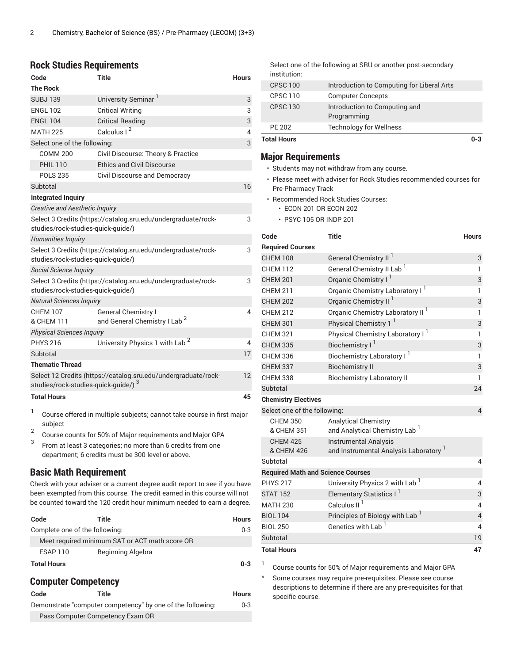#### **Rock Studies Requirements**

| Code                                  | <b>Title</b>                                                           | <b>Hours</b> |
|---------------------------------------|------------------------------------------------------------------------|--------------|
| <b>The Rock</b>                       |                                                                        |              |
| <b>SUBJ139</b>                        | University Seminar <sup>1</sup>                                        | 3            |
| <b>ENGL 102</b>                       | <b>Critical Writing</b>                                                | 3            |
| <b>ENGL 104</b>                       | <b>Critical Reading</b>                                                | 3            |
| <b>MATH 225</b>                       | Calculus I <sup>2</sup>                                                | 4            |
| Select one of the following:          |                                                                        | 3            |
| <b>COMM 200</b>                       | Civil Discourse: Theory & Practice                                     |              |
| <b>PHIL 110</b>                       | <b>Ethics and Civil Discourse</b>                                      |              |
| <b>POLS 235</b>                       | Civil Discourse and Democracy                                          |              |
| Subtotal                              |                                                                        | 16           |
| <b>Integrated Inquiry</b>             |                                                                        |              |
| <b>Creative and Aesthetic Inquiry</b> |                                                                        |              |
| studies/rock-studies-quick-quide/)    | Select 3 Credits (https://catalog.sru.edu/undergraduate/rock-          | 3            |
| Humanities Inquiry                    |                                                                        |              |
| studies/rock-studies-quick-quide/)    | Select 3 Credits (https://catalog.sru.edu/undergraduate/rock-          | 3            |
| Social Science Inquiry                |                                                                        |              |
| studies/rock-studies-quick-quide/)    | Select 3 Credits (https://catalog.sru.edu/undergraduate/rock-          | 3            |
| <b>Natural Sciences Inquiry</b>       |                                                                        |              |
| <b>CHFM 107</b><br>& CHEM 111         | <b>General Chemistry I</b><br>and General Chemistry I Lab <sup>2</sup> | 4            |
| <b>Physical Sciences Inquiry</b>      |                                                                        |              |
| <b>PHYS 216</b>                       | University Physics 1 with Lab <sup>2</sup>                             | 4            |
| Subtotal                              |                                                                        | 17           |
| <b>Thematic Thread</b>                |                                                                        |              |
| studies/rock-studies-quick-guide/) 3  | Select 12 Credits (https://catalog.sru.edu/undergraduate/rock-         | 12           |
| <b>Total Hours</b>                    |                                                                        | 45           |

1 Course offered in multiple subjects; cannot take course in first major subject

- 2 Course counts for 50% of Major requirements and Major GPA
- 3 From at least 3 categories; no more than 6 credits from one department; 6 credits must be 300-level or above.

#### **Basic Math Requirement**

Check with your adviser or a current degree audit report to see if you have been exempted from this course. The credit earned in this course will not be counted toward the 120 credit hour minimum needed to earn a degree.

| Code                           | Title                                          | Hours   |
|--------------------------------|------------------------------------------------|---------|
| Complete one of the following: |                                                | $0 - 3$ |
|                                | Meet required minimum SAT or ACT math score OR |         |
| ESAP 110                       | Beginning Algebra                              |         |
| <b>Total Hours</b>             |                                                | $0 - 3$ |

#### **Computer Competency**

| Code | Title                            |                                                            | <b>Hours</b> |
|------|----------------------------------|------------------------------------------------------------|--------------|
|      |                                  | Demonstrate "computer competency" by one of the following: | $0 - 3$      |
|      | Pass Computer Competency Exam OR |                                                            |              |

Select one of the following at SRU or another post-secondary institution:

| <b>Total Hours</b> |                                              | 0-3 |
|--------------------|----------------------------------------------|-----|
| PE 202             | <b>Technology for Wellness</b>               |     |
| <b>CPSC 130</b>    | Introduction to Computing and<br>Programming |     |
| <b>CPSC 110</b>    | <b>Computer Concepts</b>                     |     |
| <b>CPSC 100</b>    | Introduction to Computing for Liberal Arts   |     |

#### **Major Requirements**

- Students may not withdraw from any course.
- Please meet with adviser for Rock Studies recommended courses for Pre-Pharmacy Track
- Recommended Rock Studies Courses:
	- ECON 201 OR ECON 202
	- PSYC 105 OR INDP 201

| Code                                     | <b>Title</b>                                                             | <b>Hours</b>   |
|------------------------------------------|--------------------------------------------------------------------------|----------------|
| <b>Required Courses</b>                  |                                                                          |                |
| <b>CHEM 108</b>                          | General Chemistry II <sup>I</sup>                                        | 3              |
| <b>CHEM 112</b>                          | General Chemistry II Lab <sup>1</sup>                                    | 1              |
| <b>CHEM 201</b>                          | Organic Chemistry I <sup>1</sup>                                         | 3              |
| <b>CHEM 211</b>                          | Organic Chemistry Laboratory I <sup>1</sup>                              | 1              |
| <b>CHEM 202</b>                          | Organic Chemistry II <sup>I</sup>                                        | 3              |
| <b>CHFM 212</b>                          | Organic Chemistry Laboratory II <sup>1</sup>                             | 1              |
| <b>CHEM 301</b>                          | Physical Chemistry 1 <sup>1</sup>                                        | 3              |
| <b>CHEM 321</b>                          | Physical Chemistry Laboratory I <sup>1</sup>                             | 1              |
| <b>CHEM 335</b>                          | Biochemistry I <sup>1</sup>                                              | 3              |
| <b>CHEM 336</b>                          | Biochemistry Laboratory I <sup>1</sup>                                   | 1              |
| <b>CHEM 337</b>                          | <b>Biochemistry II</b>                                                   | 3              |
| <b>CHEM 338</b>                          | <b>Biochemistry Laboratory II</b>                                        | 1              |
| Subtotal                                 |                                                                          | 24             |
| <b>Chemistry Electives</b>               |                                                                          |                |
| Select one of the following:             |                                                                          | $\overline{4}$ |
| <b>CHEM 350</b><br>& CHEM 351            | <b>Analytical Chemistry</b><br>and Analytical Chemistry Lab <sup>1</sup> |                |
| <b>CHEM 425</b><br>& CHEM 426            | <b>Instrumental Analysis</b><br>and Instrumental Analysis Laboratory 1   |                |
| Subtotal                                 |                                                                          | 4              |
| <b>Required Math and Science Courses</b> |                                                                          |                |
| <b>PHYS 217</b>                          | University Physics 2 with Lab <sup>1</sup>                               | 4              |
| <b>STAT 152</b>                          | Elementary Statistics I                                                  | 3              |
| <b>MATH 230</b>                          | Calculus II <sup>1</sup>                                                 | 4              |
| <b>BIOL 104</b>                          | Principles of Biology with Lab <sup>1</sup>                              | $\overline{4}$ |
| <b>BIOL 250</b>                          | Genetics with Lab <sup>1</sup>                                           | 4              |
| Subtotal                                 |                                                                          | 19             |
| <b>Total Hours</b>                       |                                                                          | 47             |

1 Course counts for 50% of Major requirements and Major GPA

\* Some courses may require pre-requisites. Please see course descriptions to determine if there are any pre-requisites for that specific course.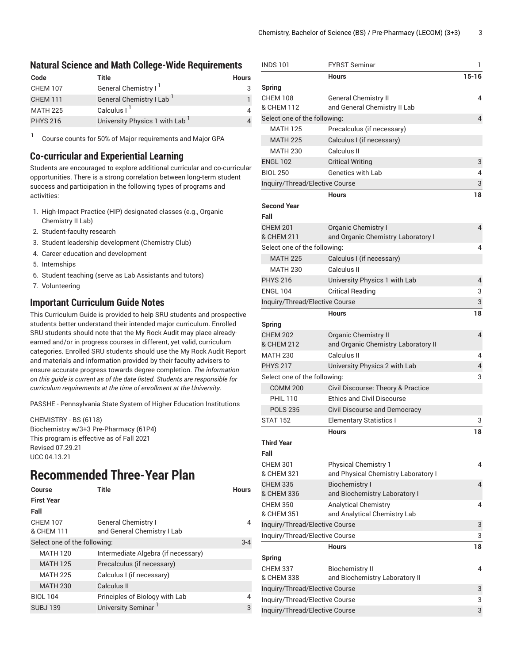#### **Natural Science and Math College-Wide Requirements**

| Code            | Title                                      | <b>Hours</b> |
|-----------------|--------------------------------------------|--------------|
| <b>CHEM 107</b> | General Chemistry I <sup>1</sup>           |              |
| <b>CHEM 111</b> | General Chemistry I Lab                    |              |
| <b>MATH 225</b> | Calculus $I1$                              |              |
| <b>PHYS 216</b> | University Physics 1 with Lab <sup>1</sup> |              |

Course counts for 50% of Major requirements and Major GPA

#### **Co-curricular and Experiential Learning**

Students are encouraged to explore additional curricular and co-curricular opportunities. There is a strong correlation between long-term student success and participation in the following types of programs and activities:

- 1. High-Impact Practice (HIP) designated classes (e.g., Organic Chemistry II Lab)
- 2. Student-faculty research
- 3. Student leadership development (Chemistry Club)
- 4. Career education and development
- 5. Internships

1

- 6. Student teaching (serve as Lab Assistants and tutors)
- 7. Volunteering

#### **Important Curriculum Guide Notes**

This Curriculum Guide is provided to help SRU students and prospective students better understand their intended major curriculum. Enrolled SRU students should note that the My Rock Audit may place alreadyearned and/or in progress courses in different, yet valid, curriculum categories. Enrolled SRU students should use the My Rock Audit Report and materials and information provided by their faculty advisers to ensure accurate progress towards degree completion. *The information on this guide is current as of the date listed. Students are responsible for curriculum requirements at the time of enrollment at the University*.

PASSHE - Pennsylvania State System of Higher Education Institutions

CHEMISTRY - BS (6118) Biochemistry w/3+3 Pre-Pharmacy (61P4) This program is effective as of Fall 2021 Revised 07.29.21 UCC 04.13.21

### **Recommended Three-Year Plan**

| Course                       | Title                               | <b>Hours</b> |
|------------------------------|-------------------------------------|--------------|
| <b>First Year</b>            |                                     |              |
| Fall                         |                                     |              |
| <b>CHEM 107</b>              | <b>General Chemistry I</b>          | 4            |
| & CHEM 111                   | and General Chemistry I Lab         |              |
| Select one of the following: |                                     | $3 - 4$      |
| <b>MATH 120</b>              | Intermediate Algebra (if necessary) |              |
| <b>MATH 125</b>              | Precalculus (if necessary)          |              |
| <b>MATH 225</b>              | Calculus I (if necessary)           |              |
| <b>MATH 230</b>              | Calculus II                         |              |
| <b>BIOL 104</b>              | Principles of Biology with Lab      | 4            |
| <b>SUBJ139</b>               | University Seminar <sup>1</sup>     | 3            |
|                              |                                     |              |

| <b>INDS 101</b>                                 | <b>FYRST Seminar</b>                                               | 1              |
|-------------------------------------------------|--------------------------------------------------------------------|----------------|
|                                                 | <b>Hours</b>                                                       | $15 - 16$      |
| <b>Spring</b>                                   |                                                                    |                |
| <b>CHEM 108</b>                                 | <b>General Chemistry II</b>                                        | 4              |
| & CHEM 112                                      | and General Chemistry II Lab                                       |                |
| Select one of the following:                    |                                                                    | 4              |
| <b>MATH 125</b>                                 | Precalculus (if necessary)                                         |                |
| <b>MATH 225</b>                                 | Calculus I (if necessary)                                          |                |
| <b>MATH 230</b>                                 | Calculus II                                                        |                |
| <b>ENGL 102</b>                                 | <b>Critical Writing</b>                                            | 3              |
| <b>BIOL 250</b>                                 | Genetics with Lab                                                  | 4              |
| Inquiry/Thread/Elective Course                  |                                                                    | 3              |
|                                                 | <b>Hours</b>                                                       | 18             |
| <b>Second Year</b>                              |                                                                    |                |
| Fall                                            |                                                                    |                |
| <b>CHFM 201</b>                                 | <b>Organic Chemistry I</b>                                         | 4              |
| & CHEM 211                                      | and Organic Chemistry Laboratory I                                 |                |
| Select one of the following:<br><b>MATH 225</b> |                                                                    | 4              |
| <b>MATH 230</b>                                 | Calculus I (if necessary)<br>Calculus II                           |                |
|                                                 |                                                                    |                |
| <b>PHYS 216</b>                                 | University Physics 1 with Lab                                      | 4              |
| <b>ENGL 104</b>                                 | <b>Critical Reading</b>                                            | 3              |
| Inquiry/Thread/Elective Course                  |                                                                    | 3              |
|                                                 | <b>Hours</b>                                                       | 18             |
| <b>Spring</b>                                   |                                                                    |                |
| <b>CHEM 202</b><br>& CHEM 212                   | <b>Organic Chemistry II</b><br>and Organic Chemistry Laboratory II | $\overline{4}$ |
| <b>MATH 230</b>                                 | Calculus II                                                        | 4              |
| <b>PHYS 217</b>                                 | University Physics 2 with Lab                                      | 4              |
| Select one of the following:                    |                                                                    | 3              |
| <b>COMM 200</b>                                 | Civil Discourse: Theory & Practice                                 |                |
| <b>PHIL 110</b>                                 | <b>Ethics and Civil Discourse</b>                                  |                |
| <b>POLS 235</b>                                 | <b>Civil Discourse and Democracy</b>                               |                |
| <b>STAT 152</b>                                 | <b>Elementary Statistics I</b>                                     | 3              |
|                                                 | <b>Hours</b>                                                       | 18             |
| <b>Third Year</b>                               |                                                                    |                |
| Fall                                            |                                                                    |                |
| <b>CHEM 301</b>                                 | <b>Physical Chemistry 1</b>                                        | 4              |
| & CHEM 321                                      | and Physical Chemistry Laboratory I                                |                |
| <b>CHEM 335</b>                                 | <b>Biochemistry I</b>                                              | 4              |
| & CHEM 336                                      | and Biochemistry Laboratory I                                      |                |
| <b>CHEM 350</b>                                 | <b>Analytical Chemistry</b>                                        | 4              |
| & CHEM 351                                      | and Analytical Chemistry Lab                                       |                |
| Inquiry/Thread/Elective Course                  |                                                                    | 3              |
| Inquiry/Thread/Elective Course                  |                                                                    | 3              |
|                                                 | <b>Hours</b>                                                       | 18             |
| <b>Spring</b>                                   |                                                                    |                |
| <b>CHEM 337</b>                                 | <b>Biochemistry II</b>                                             | 4              |
| & CHEM 338                                      | and Biochemistry Laboratory II                                     |                |
| Inquiry/Thread/Elective Course                  |                                                                    | 3              |
| Inquiry/Thread/Elective Course                  |                                                                    | 3              |
| Inquiry/Thread/Elective Course                  |                                                                    | 3              |